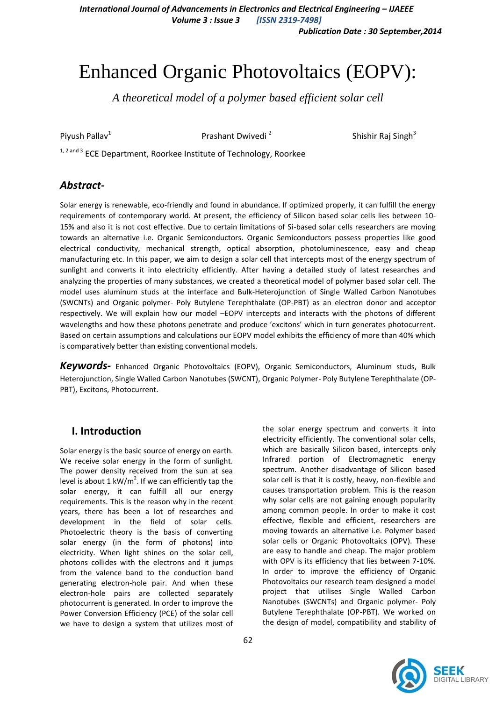*International Journal of Advancements in Electronics and Electrical Engineering – IJAEEE Volume 3 : Issue 3 [ISSN 2319-7498]*

*Publication Date : 30 September,2014*

# Enhanced Organic Photovoltaics (EOPV):

*A theoretical model of a polymer based efficient solar cell*

Piyush Pallav<sup>1</sup>

Prashant Dwivedi <sup>2</sup>

Shishir Raj Singh $3$ 

<sup>1, 2 and 3</sup> ECE Department, Roorkee Institute of Technology, Roorkee

### *Abstract-*

Solar energy is renewable, eco-friendly and found in abundance. If optimized properly, it can fulfill the energy requirements of contemporary world. At present, the efficiency of Silicon based solar cells lies between 10- 15% and also it is not cost effective. Due to certain limitations of Si-based solar cells researchers are moving towards an alternative i.e. Organic Semiconductors. Organic Semiconductors possess properties like good electrical conductivity, mechanical strength, optical absorption, photoluminescence, easy and cheap manufacturing etc. In this paper, we aim to design a solar cell that intercepts most of the energy spectrum of sunlight and converts it into electricity efficiently. After having a detailed study of latest researches and analyzing the properties of many substances, we created a theoretical model of polymer based solar cell. The model uses aluminum studs at the interface and Bulk-Heterojunction of Single Walled Carbon Nanotubes (SWCNTs) and Organic polymer- Poly Butylene Terephthalate (OP-PBT) as an electron donor and acceptor respectively. We will explain how our model –EOPV intercepts and interacts with the photons of different wavelengths and how these photons penetrate and produce 'excitons' which in turn generates photocurrent. Based on certain assumptions and calculations our EOPV model exhibits the efficiency of more than 40% which is comparatively better than existing conventional models.

*Keywords-* Enhanced Organic Photovoltaics (EOPV), Organic Semiconductors, Aluminum studs, Bulk Heterojunction, Single Walled Carbon Nanotubes (SWCNT), Organic Polymer- Poly Butylene Terephthalate (OP-PBT), Excitons, Photocurrent.

## **I. Introduction**

Solar energy is the basic source of energy on earth. We receive solar energy in the form of sunlight. The power density received from the sun at sea level is about 1 kW/ $m^2$ . If we can efficiently tap the solar energy, it can fulfill all our energy requirements. This is the reason why in the recent years, there has been a lot of researches and development in the field of solar cells. Photoelectric theory is the basis of converting solar energy (in the form of photons) into electricity. When light shines on the solar cell, photons collides with the electrons and it jumps from the valence band to the conduction band generating electron-hole pair. And when these electron-hole pairs are collected separately photocurrent is generated. In order to improve the Power Conversion Efficiency (PCE) of the solar cell we have to design a system that utilizes most of

the solar energy spectrum and converts it into electricity efficiently. The conventional solar cells, which are basically Silicon based, intercepts only Infrared portion of Electromagnetic energy spectrum. Another disadvantage of Silicon based solar cell is that it is costly, heavy, non-flexible and causes transportation problem. This is the reason why solar cells are not gaining enough popularity among common people. In order to make it cost effective, flexible and efficient, researchers are moving towards an alternative i.e. Polymer based solar cells or Organic Photovoltaics (OPV). These are easy to handle and cheap. The major problem with OPV is its efficiency that lies between 7-10%. In order to improve the efficiency of Organic Photovoltaics our research team designed a model project that utilises Single Walled Carbon Nanotubes (SWCNTs) and Organic polymer- Poly Butylene Terephthalate (OP-PBT). We worked on the design of model, compatibility and stability of

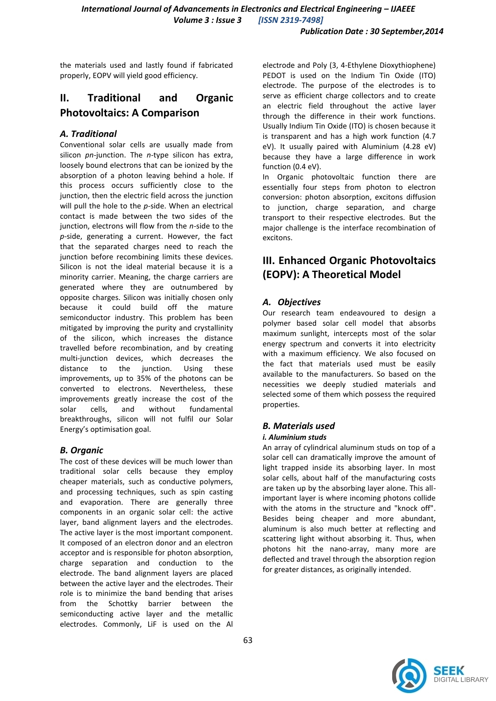the materials used and lastly found if fabricated properly, EOPV will yield good efficiency.

## **II. Traditional and Organic Photovoltaics: A Comparison**

### *A. Traditional*

Conventional solar cells are usually made from silicon *pn-*junction. The *n-*type silicon has extra, loosely bound electrons that can be ionized by the absorption of a photon leaving behind a hole. If this process occurs sufficiently close to the junction, then the electric field across the junction will pull the hole to the *p-*side. When an electrical contact is made between the two sides of the junction, electrons will flow from the *n-*side to the *p*-side, generating a current. However, the fact that the separated charges need to reach the junction before recombining limits these devices. Silicon is not the ideal material because it is a minority carrier. Meaning, the charge carriers are generated where they are outnumbered by opposite charges. Silicon was initially chosen only because it could build off the mature semiconductor industry. This problem has been mitigated by improving the purity and crystallinity of the silicon, which increases the distance travelled before recombination, and by creating multi-junction devices, which decreases the distance to the junction. Using these improvements, up to 35% of the photons can be converted to electrons. Nevertheless, these improvements greatly increase the cost of the solar cells, and without fundamental breakthroughs, silicon will not fulfil our Solar Energy's optimisation goal.

#### *B. Organic*

The cost of these devices will be much lower than traditional solar cells because they employ cheaper materials, such as conductive polymers, and processing techniques, such as spin casting and evaporation. There are generally three components in an organic solar cell: the active layer, band alignment layers and the electrodes. The active layer is the most important component. It composed of an electron donor and an electron acceptor and is responsible for photon absorption, charge separation and conduction to the electrode. The band alignment layers are placed between the active layer and the electrodes. Their role is to minimize the band bending that arises from the Schottky barrier between the semiconducting active layer and the metallic electrodes. Commonly, LiF is used on the Al electrode and Poly (3, 4-Ethylene Dioxythiophene) PEDOT is used on the Indium Tin Oxide (ITO) electrode. The purpose of the electrodes is to serve as efficient charge collectors and to create an electric field throughout the active layer through the difference in their work functions. Usually Indium Tin Oxide (ITO) is chosen because it is transparent and has a high work function (4.7 eV). It usually paired with Aluminium (4.28 eV) because they have a large difference in work function (0.4 eV).

In Organic photovoltaic function there are essentially four steps from photon to electron conversion: photon absorption, excitons diffusion to junction, charge separation, and charge transport to their respective electrodes. But the major challenge is the interface recombination of excitons.

# **III. Enhanced Organic Photovoltaics (EOPV): A Theoretical Model**

### *A. Objectives*

Our research team endeavoured to design a polymer based solar cell model that absorbs maximum sunlight, intercepts most of the solar energy spectrum and converts it into electricity with a maximum efficiency. We also focused on the fact that materials used must be easily available to the manufacturers. So based on the necessities we deeply studied materials and selected some of them which possess the required properties.

## *B. Materials used*

#### *i. Aluminium studs*

An array of cylindrical aluminum studs on top of a solar cell can dramatically improve the amount of light trapped inside its absorbing layer. In most solar cells, about half of the manufacturing costs are taken up by the absorbing layer alone. This allimportant layer is where incoming photons collide with the atoms in the structure and "knock off". Besides being cheaper and more abundant, aluminum is also much better at reflecting and scattering light without absorbing it. Thus, when photons hit the nano-array, many more are deflected and travel through the absorption region for greater distances, as originally intended.

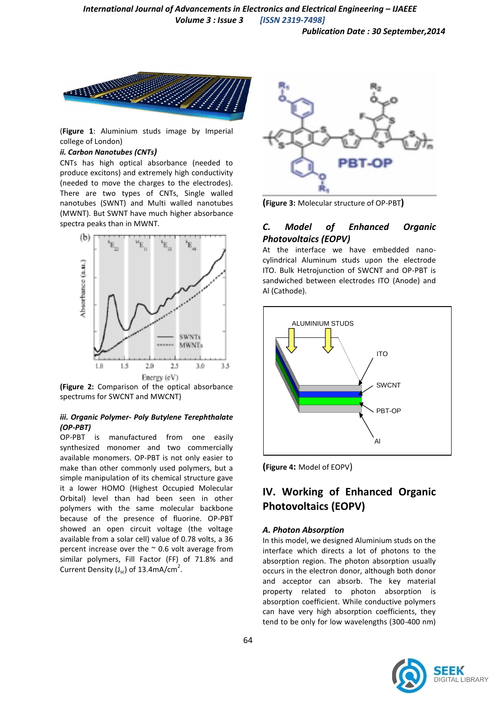*Publication Date : 30 September,2014*



(**Figure 1**: Aluminium studs image by Imperial college of London)

#### *ii. Carbon Nanotubes (CNTs)*

CNTs has high optical absorbance (needed to produce excitons) and extremely high conductivity (needed to move the charges to the electrodes). There are two types of CNTs, Single walled nanotubes (SWNT) and Multi walled nanotubes (MWNT). But SWNT have much higher absorbance spectra peaks than in MWNT.



**(Figure 2:** Comparison of the optical absorbance spectrums for SWCNT and MWCNT)

#### *iii. Organic Polymer- Poly Butylene Terephthalate (OP-PBT)*

OP-PBT is manufactured from one easily synthesized monomer and two commercially available monomers. OP-PBT is not only easier to make than other commonly used polymers, but a simple manipulation of its chemical structure gave it a lower HOMO (Highest Occupied Molecular Orbital) level than had been seen in other polymers with the same molecular backbone because of the presence of fluorine. OP-PBT showed an open circuit voltage (the voltage available from a solar cell) value of 0.78 volts, a 36 percent increase over the  $\sim$  0.6 volt average from similar polymers, Fill Factor (FF) of 71.8% and Current Density ( $J_{sc}$ ) of 13.4mA/cm<sup>2</sup>.



**(Figure 3:** Molecular structure of OP-PBT**)**

## *C. Model of Enhanced Organic Photovoltaics (EOPV)*

At the interface we have embedded nanocylindrical Aluminum studs upon the electrode ITO. Bulk Hetrojunction of SWCNT and OP-PBT is sandwiched between electrodes ITO (Anode) and Al (Cathode).



**(Figure 4:** Model of EOPV)

# **IV. Working of Enhanced Organic Photovoltaics (EOPV)**

#### *A. Photon Absorption*

In this model, we designed Aluminium studs on the interface which directs a lot of photons to the absorption region. The photon absorption usually occurs in the electron donor, although both donor and acceptor can absorb. The key material property related to photon absorption is absorption coefficient. While conductive polymers can have very high absorption coefficients, they tend to be only for low wavelengths (300-400 nm)

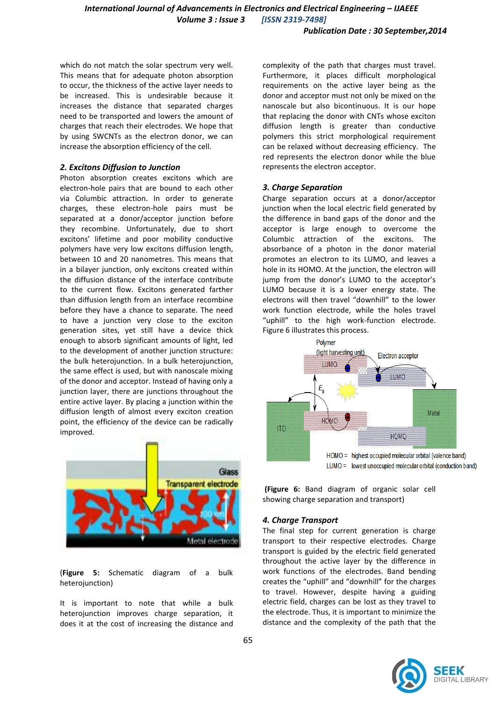which do not match the solar spectrum very well. This means that for adequate photon absorption to occur, the thickness of the active layer needs to be increased. This is undesirable because it increases the distance that separated charges need to be transported and lowers the amount of charges that reach their electrodes. We hope that by using SWCNTs as the electron donor, we can increase the absorption efficiency of the cell.

#### *2. Excitons Diffusion to Junction*

Photon absorption creates excitons which are electron-hole pairs that are bound to each other via Columbic attraction. In order to generate charges, these electron-hole pairs must be separated at a donor/acceptor junction before they recombine. Unfortunately, due to short excitons' lifetime and poor mobility conductive polymers have very low excitons diffusion length, between 10 and 20 nanometres. This means that in a bilayer junction, only excitons created within the diffusion distance of the interface contribute to the current flow. Excitons generated farther than diffusion length from an interface recombine before they have a chance to separate. The need to have a junction very close to the exciton generation sites, yet still have a device thick enough to absorb significant amounts of light, led to the development of another junction structure: the bulk heterojunction. In a bulk heterojunction, the same effect is used, but with nanoscale mixing of the donor and acceptor. Instead of having only a junction layer, there are junctions throughout the entire active layer. By placing a junction within the diffusion length of almost every exciton creation point, the efficiency of the device can be radically improved.



(**Figure 5:** Schematic diagram of a bulk heterojunction)

It is important to note that while a bulk heterojunction improves charge separation, it does it at the cost of increasing the distance and complexity of the path that charges must travel. Furthermore, it places difficult morphological requirements on the active layer being as the donor and acceptor must not only be mixed on the nanoscale but also bicontinuous. It is our hope that replacing the donor with CNTs whose exciton diffusion length is greater than conductive polymers this strict morphological requirement can be relaxed without decreasing efficiency. The red represents the electron donor while the blue represents the electron acceptor.

#### *3. Charge Separation*

Charge separation occurs at a donor/acceptor junction when the local electric field generated by the difference in band gaps of the donor and the acceptor is large enough to overcome the Columbic attraction of the excitons. The absorbance of a photon in the donor material promotes an electron to its LUMO, and leaves a hole in its HOMO. At the junction, the electron will jump from the donor's LUMO to the acceptor's LUMO because it is a lower energy state. The electrons will then travel "downhill" to the lower work function electrode, while the holes travel "uphill" to the high work-function electrode. Figure 6 illustrates this process.



**(Figure 6:** Band diagram of organic solar cell showing charge separation and transport)

#### *4. Charge Transport*

The final step for current generation is charge transport to their respective electrodes. Charge transport is guided by the electric field generated throughout the active layer by the difference in work functions of the electrodes. Band bending creates the "uphill" and "downhill" for the charges to travel. However, despite having a guiding electric field, charges can be lost as they travel to the electrode. Thus, it is important to minimize the distance and the complexity of the path that the